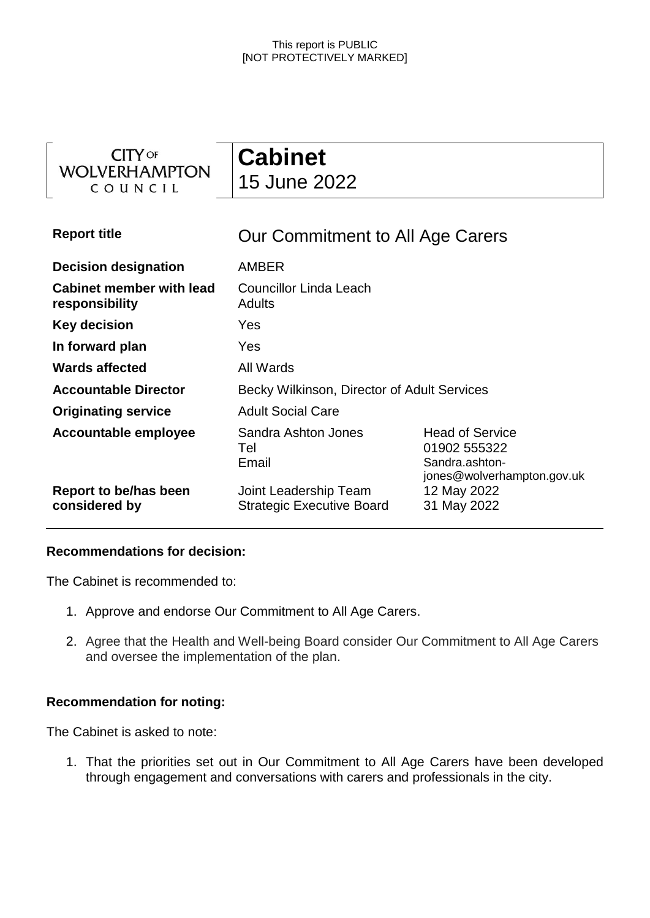| <b>CITY OF</b><br><b>WOLVERHAMPTON</b><br>COUNCIL | <b>Cabinet</b><br>15 June 2022                            |                                                                                        |
|---------------------------------------------------|-----------------------------------------------------------|----------------------------------------------------------------------------------------|
| <b>Report title</b>                               | Our Commitment to All Age Carers                          |                                                                                        |
| <b>Decision designation</b>                       | <b>AMBER</b>                                              |                                                                                        |
| <b>Cabinet member with lead</b><br>responsibility | <b>Councillor Linda Leach</b><br><b>Adults</b>            |                                                                                        |
| <b>Key decision</b>                               | Yes                                                       |                                                                                        |
| In forward plan                                   | Yes                                                       |                                                                                        |
| <b>Wards affected</b>                             | All Wards                                                 |                                                                                        |
| <b>Accountable Director</b>                       | Becky Wilkinson, Director of Adult Services               |                                                                                        |
| <b>Originating service</b>                        | <b>Adult Social Care</b>                                  |                                                                                        |
| Accountable employee                              | Sandra Ashton Jones<br>Tel<br>Email                       | <b>Head of Service</b><br>01902 555322<br>Sandra.ashton-<br>jones@wolverhampton.gov.uk |
| Report to be/has been<br>considered by            | Joint Leadership Team<br><b>Strategic Executive Board</b> | 12 May 2022<br>31 May 2022                                                             |

### **Recommendations for decision:**

The Cabinet is recommended to:

- 1. Approve and endorse Our Commitment to All Age Carers.
- 2. Agree that the Health and Well-being Board consider Our Commitment to All Age Carers and oversee the implementation of the plan.

### **Recommendation for noting:**

The Cabinet is asked to note:

1. That the priorities set out in Our Commitment to All Age Carers have been developed through engagement and conversations with carers and professionals in the city.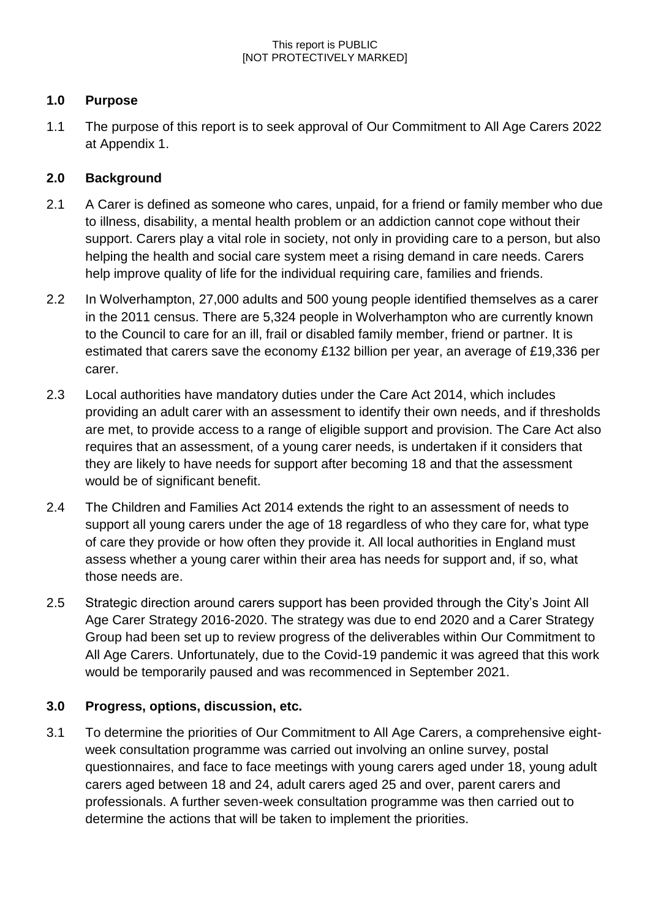# **1.0 Purpose**

1.1 The purpose of this report is to seek approval of Our Commitment to All Age Carers 2022 at Appendix 1.

# **2.0 Background**

- 2.1 A Carer is defined as someone who cares, unpaid, for a friend or family member who due to illness, disability, a mental health problem or an addiction cannot cope without their support. Carers play a vital role in society, not only in providing care to a person, but also helping the health and social care system meet a rising demand in care needs. Carers help improve quality of life for the individual requiring care, families and friends.
- 2.2 In Wolverhampton, 27,000 adults and 500 young people identified themselves as a carer in the 2011 census. There are 5,324 people in Wolverhampton who are currently known to the Council to care for an ill, frail or disabled family member, friend or partner. It is estimated that carers save the economy £132 billion per year, an average of £19,336 per carer.
- 2.3 Local authorities have mandatory duties under the Care Act 2014, which includes providing an adult carer with an assessment to identify their own needs, and if thresholds are met, to provide access to a range of eligible support and provision. The Care Act also requires that an assessment, of a young carer needs, is undertaken if it considers that they are likely to have needs for support after becoming 18 and that the assessment would be of significant benefit.
- 2.4 The Children and Families Act 2014 extends the right to an assessment of needs to support all young carers under the age of 18 regardless of who they care for, what type of care they provide or how often they provide it. All local authorities in England must assess whether a young carer within their area has needs for support and, if so, what those needs are.
- 2.5 Strategic direction around carers support has been provided through the City's Joint All Age Carer Strategy 2016-2020. The strategy was due to end 2020 and a Carer Strategy Group had been set up to review progress of the deliverables within Our Commitment to All Age Carers. Unfortunately, due to the Covid-19 pandemic it was agreed that this work would be temporarily paused and was recommenced in September 2021.

# **3.0 Progress, options, discussion, etc.**

3.1 To determine the priorities of Our Commitment to All Age Carers, a comprehensive eightweek consultation programme was carried out involving an online survey, postal questionnaires, and face to face meetings with young carers aged under 18, young adult carers aged between 18 and 24, adult carers aged 25 and over, parent carers and professionals. A further seven-week consultation programme was then carried out to determine the actions that will be taken to implement the priorities.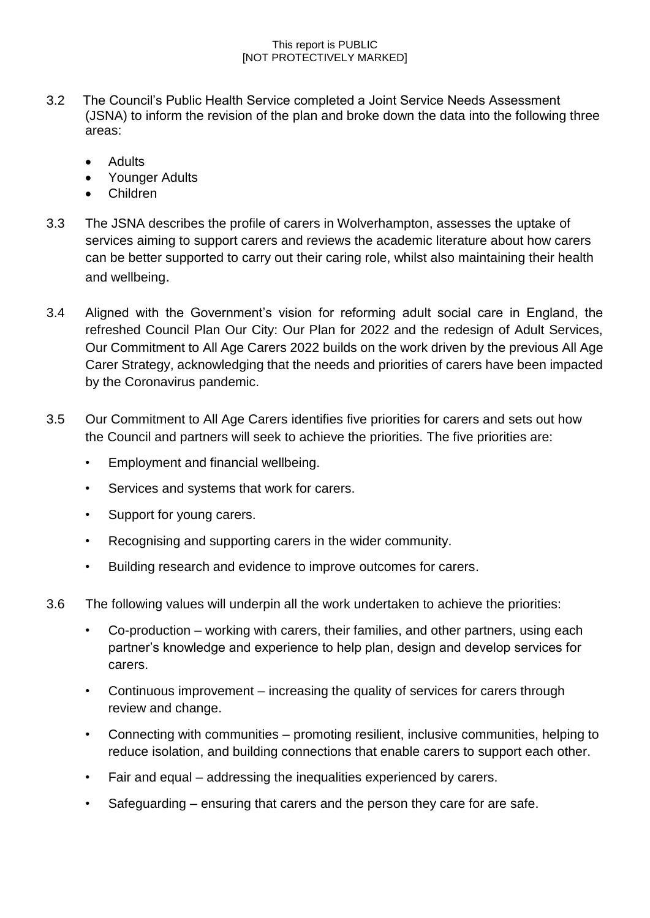- 3.2 The Council's Public Health Service completed a Joint Service Needs Assessment (JSNA) to inform the revision of the plan and broke down the data into the following three areas:
	- Adults
	- Younger Adults
	- Children
- 3.3 The JSNA describes the profile of carers in Wolverhampton, assesses the uptake of services aiming to support carers and reviews the academic literature about how carers can be better supported to carry out their caring role, whilst also maintaining their health and wellbeing.
- 3.4 Aligned with the Government's vision for reforming adult social care in England, the refreshed Council Plan Our City: Our Plan for 2022 and the redesign of Adult Services, Our Commitment to All Age Carers 2022 builds on the work driven by the previous All Age Carer Strategy, acknowledging that the needs and priorities of carers have been impacted by the Coronavirus pandemic.
- 3.5 Our Commitment to All Age Carers identifies five priorities for carers and sets out how the Council and partners will seek to achieve the priorities. The five priorities are:
	- Employment and financial wellbeing.
	- Services and systems that work for carers.
	- Support for young carers.
	- Recognising and supporting carers in the wider community.
	- Building research and evidence to improve outcomes for carers.
- 3.6 The following values will underpin all the work undertaken to achieve the priorities:
	- Co-production working with carers, their families, and other partners, using each partner's knowledge and experience to help plan, design and develop services for carers.
	- Continuous improvement increasing the quality of services for carers through review and change.
	- Connecting with communities promoting resilient, inclusive communities, helping to reduce isolation, and building connections that enable carers to support each other.
	- Fair and equal addressing the inequalities experienced by carers.
	- Safeguarding ensuring that carers and the person they care for are safe.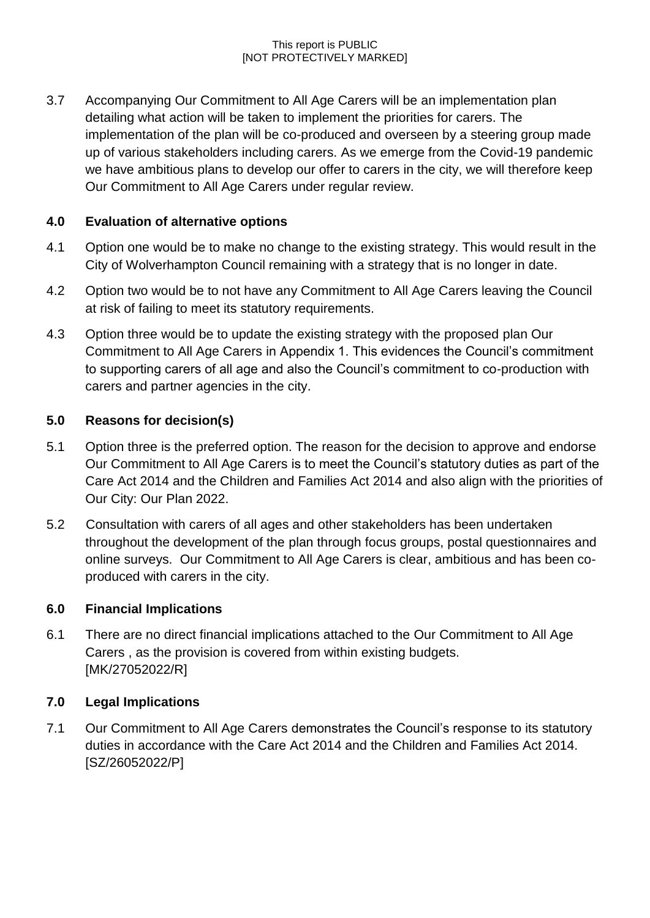3.7 Accompanying Our Commitment to All Age Carers will be an implementation plan detailing what action will be taken to implement the priorities for carers. The implementation of the plan will be co-produced and overseen by a steering group made up of various stakeholders including carers. As we emerge from the Covid-19 pandemic we have ambitious plans to develop our offer to carers in the city, we will therefore keep Our Commitment to All Age Carers under regular review.

# **4.0 Evaluation of alternative options**

- 4.1 Option one would be to make no change to the existing strategy. This would result in the City of Wolverhampton Council remaining with a strategy that is no longer in date.
- 4.2 Option two would be to not have any Commitment to All Age Carers leaving the Council at risk of failing to meet its statutory requirements.
- 4.3 Option three would be to update the existing strategy with the proposed plan Our Commitment to All Age Carers in Appendix 1. This evidences the Council's commitment to supporting carers of all age and also the Council's commitment to co-production with carers and partner agencies in the city.

# **5.0 Reasons for decision(s)**

- 5.1 Option three is the preferred option. The reason for the decision to approve and endorse Our Commitment to All Age Carers is to meet the Council's statutory duties as part of the Care Act 2014 and the Children and Families Act 2014 and also align with the priorities of Our City: Our Plan 2022.
- 5.2 Consultation with carers of all ages and other stakeholders has been undertaken throughout the development of the plan through focus groups, postal questionnaires and online surveys. Our Commitment to All Age Carers is clear, ambitious and has been coproduced with carers in the city.

# **6.0 Financial Implications**

6.1 There are no direct financial implications attached to the Our Commitment to All Age Carers , as the provision is covered from within existing budgets. [MK/27052022/R]

# **7.0 Legal Implications**

7.1 Our Commitment to All Age Carers demonstrates the Council's response to its statutory duties in accordance with the Care Act 2014 and the Children and Families Act 2014. [SZ/26052022/P]